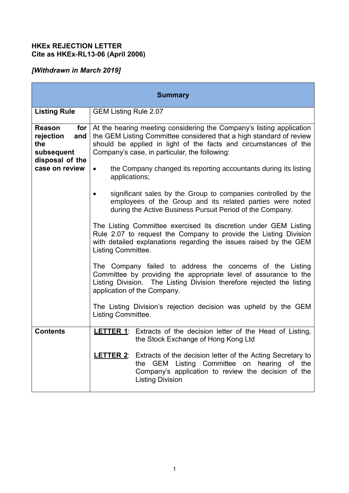## **HKEx REJECTION LETTER Cite as HKEx-RL13-06 (April 2006)**

# *[Withdrawn in March 2019]*

| <b>Summary</b>                                                                                      |                                                                                                                                                                                                                                                                                                                                                   |
|-----------------------------------------------------------------------------------------------------|---------------------------------------------------------------------------------------------------------------------------------------------------------------------------------------------------------------------------------------------------------------------------------------------------------------------------------------------------|
| <b>Listing Rule</b>                                                                                 | <b>GEM Listing Rule 2.07</b>                                                                                                                                                                                                                                                                                                                      |
| Reason<br>for $\vert$<br>and<br>rejection<br>the<br>subsequent<br>disposal of the<br>case on review | At the hearing meeting considering the Company's listing application<br>the GEM Listing Committee considered that a high standard of review<br>should be applied in light of the facts and circumstances of the<br>Company's case, in particular, the following:<br>the Company changed its reporting accountants during its listing<br>$\bullet$ |
|                                                                                                     | applications;<br>significant sales by the Group to companies controlled by the<br>employees of the Group and its related parties were noted<br>during the Active Business Pursuit Period of the Company.                                                                                                                                          |
|                                                                                                     | The Listing Committee exercised its discretion under GEM Listing<br>Rule 2.07 to request the Company to provide the Listing Division<br>with detailed explanations regarding the issues raised by the GEM<br>Listing Committee.                                                                                                                   |
|                                                                                                     | The Company failed to address the concerns of the Listing<br>Committee by providing the appropriate level of assurance to the<br>Listing Division. The Listing Division therefore rejected the listing<br>application of the Company.                                                                                                             |
|                                                                                                     | The Listing Division's rejection decision was upheld by the GEM<br>Listing Committee.                                                                                                                                                                                                                                                             |
| <b>Contents</b>                                                                                     | <b>LETTER 1:</b> Extracts of the decision letter of the Head of Listing,<br>the Stock Exchange of Hong Kong Ltd                                                                                                                                                                                                                                   |
|                                                                                                     | <b>LETTER 2</b> : Extracts of the decision letter of the Acting Secretary to<br>the GEM Listing Committee on hearing of the<br>Company's application to review the decision of the<br><b>Listing Division</b>                                                                                                                                     |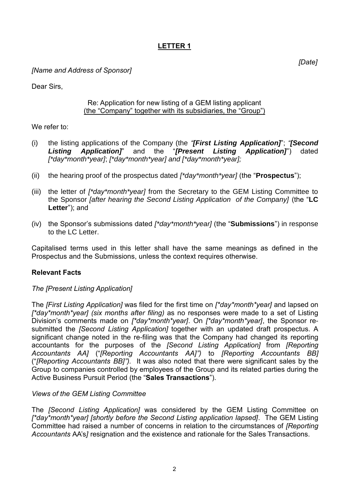# **LETTER 1**

*[Name and Address of Sponsor]*

Dear Sirs,

#### Re: Application for new listing of a GEM listing applicant (the "Company" together with its subsidiaries, the "Group")

We refer to:

- (i) the listing applications of the Company (the *"[First Listing Application]*"; *"[Second Listing Application]*" and the "*[Present Listing Application]*") dated *[\*day\*month\*year]*; *[\*day\*month\*year] and [\*day\*month\*year];*
- (ii) the hearing proof of the prospectus dated *[\*day\*month\*year]* (the "**Prospectus**");
- (iii) the letter of *[\*day\*month\*year]* from the Secretary to the GEM Listing Committee to the Sponsor *[after hearing the Second Listing Application of the Company]* (the "**LC Letter**"); and
- (iv) the Sponsor's submissions dated *[\*day\*month\*year]* (the "**Submissions**") in response to the LC Letter.

Capitalised terms used in this letter shall have the same meanings as defined in the Prospectus and the Submissions, unless the context requires otherwise.

## **Relevant Facts**

## *The [Present Listing Application]*

The *[First Listing Application]* was filed for the first time on *[\*day\*month\*year]* and lapsed on *[\*day\*month\*year] (six months after filing)* as no responses were made to a set of Listing Division's comments made on *[\*day\*month\*year]*. On *[\*day\*month\*year]*, the Sponsor resubmitted the *[Second Listing Application]* together with an updated draft prospectus. A significant change noted in the re-filing was that the Company had changed its reporting accountants for the purposes of the *[Second Listing Application]* from *[Reporting Accountants AA]* ("*[Reporting Accountants AA]")* to *[Reporting Accountants BB]* ("*[Reporting Accountants BB]").* It was also noted that there were significant sales by the Group to companies controlled by employees of the Group and its related parties during the Active Business Pursuit Period (the "**Sales Transactions**").

## *Views of the GEM Listing Committee*

The *[Second Listing Application]* was considered by the GEM Listing Committee on *[\*day\*month\*year] [shortly before the Second Listing application lapsed]*. The GEM Listing Committee had raised a number of concerns in relation to the circumstances of *[Reporting Accountants* AA's*]* resignation and the existence and rationale for the Sales Transactions.

*[Date]*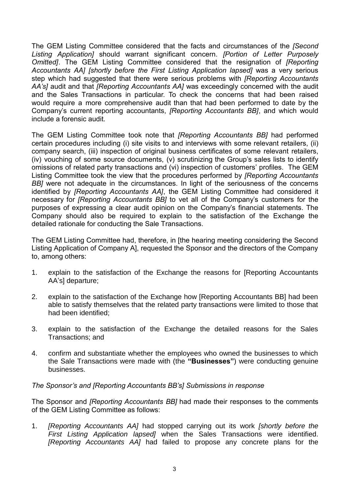The GEM Listing Committee considered that the facts and circumstances of the *[Second Listing Application]* should warrant significant concern. *[Portion of Letter Purposely Omitted]*. The GEM Listing Committee considered that the resignation of *[Reporting Accountants AA] [shortly before the First Listing Application lapsed]* was a very serious step which had suggested that there were serious problems with *[Reporting Accountants AA's]* audit and that *[Reporting Accountants AA]* was exceedingly concerned with the audit and the Sales Transactions in particular. To check the concerns that had been raised would require a more comprehensive audit than that had been performed to date by the Company's current reporting accountants, *[Reporting Accountants BB]*, and which would include a forensic audit.

The GEM Listing Committee took note that *[Reporting Accountants BB]* had performed certain procedures including (i) site visits to and interviews with some relevant retailers, (ii) company search, (iii) inspection of original business certificates of some relevant retailers, (iv) vouching of some source documents, (v) scrutinizing the Group's sales lists to identify omissions of related party transactions and (vi) inspection of customers' profiles. The GEM Listing Committee took the view that the procedures performed by *[Reporting Accountants BBI* were not adequate in the circumstances. In light of the seriousness of the concerns identified by *[Reporting Accountants AA]*, the GEM Listing Committee had considered it necessary for *[Reporting Accountants BB]* to vet all of the Company's customers for the purposes of expressing a clear audit opinion on the Company's financial statements. The Company should also be required to explain to the satisfaction of the Exchange the detailed rationale for conducting the Sale Transactions.

The GEM Listing Committee had, therefore, in [the hearing meeting considering the Second Listing Application of Company A], requested the Sponsor and the directors of the Company to, among others:

- 1. explain to the satisfaction of the Exchange the reasons for [Reporting Accountants AA's] departure;
- 2. explain to the satisfaction of the Exchange how [Reporting Accountants BB] had been able to satisfy themselves that the related party transactions were limited to those that had been identified;
- 3. explain to the satisfaction of the Exchange the detailed reasons for the Sales Transactions; and
- 4. confirm and substantiate whether the employees who owned the businesses to which the Sale Transactions were made with (the **"Businesses"**) were conducting genuine businesses.

## *The Sponsor's and [Reporting Accountants BB's] Submissions in response*

The Sponsor and *[Reporting Accountants BB]* had made their responses to the comments of the GEM Listing Committee as follows:

1. *[Reporting Accountants AA]* had stopped carrying out its work *[shortly before the First Listing Application lapsed]* when the Sales Transactions were identified. *[Reporting Accountants AA]* had failed to propose any concrete plans for the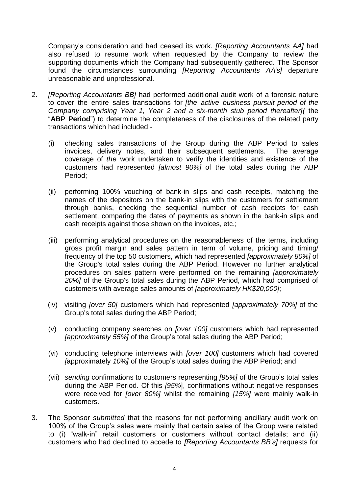Company's consideration and had ceased its work. *[Reporting Accountants AA]* had also refused to resume work when requested by the Company to review the supporting documents which the Company had subsequently gathered. The Sponsor found the circumstances surrounding *[Reporting Accountants AA's]* departure unreasonable and unprofessional.

- 2. *[Reporting Accountants BB]* had performed additional audit work of a forensic nature to cover the entire sales transactions for *[the active business pursuit period of the Company comprising Year 1, Year 2 and a six-month stub period thereafter](* the "**ABP Period**") to determine the completeness of the disclosures of the related party transactions which had included:-
	- (i) checking sales transactions of the Group during the ABP Period to sales invoices, delivery notes, and their subsequent settlements. The average coverage of *the* work undertaken to verify the identities and existence of the customers had represented *[almost 90%]* of the total sales during the ABP Period;
	- (ii) performing 100% vouching of bank-in slips and cash receipts, matching the names of the depositors on the bank-in slips with the customers for settlement through banks, checking the sequential number of cash receipts for cash settlement, comparing the dates of payments as shown in the bank-in slips and cash receipts against those shown on the invoices, etc.;
	- (iii) performing analytical procedures on the reasonableness of the terms, including gross profit margin and sales pattern in term of volume, pricing and timing/ frequency of the top 50 customers, which had represented *[approximately 80%]* of the Group's total sales during the ABP Period. However no further analytical procedures on sales pattern were performed on the remaining *[approximately 20%]* of the Group's total sales during the ABP Period, which had comprised of customers with average sales amounts of *[approximately HK\$20,000]*;
	- (iv) visiting *[over 50]* customers which had represented *[approximately 70%]* of the Group's total sales during the ABP Period;
	- (v) conducting company searches on *[over 100]* customers which had represented *[approximately 55%]* of the Group's total sales during the ABP Period;
	- (vi) conducting telephone interviews with *[over 100]* customers which had covered *[*approximately *10*%*]* of the Group's total sales during the ABP Period; and
	- (vii) *sending* confirmations to customers representing *[95%]* of the Group's total sales during the ABP Period. Of this *[95%*], confirmations without negative responses were received for *[over 80%]* whilst the remaining *[15%]* were mainly walk-in customers.
- 3. The Sponsor *submitted* that the reasons for not performing ancillary audit work on 100% of the Group's sales were mainly that certain sales of the Group were related to (i) "walk-in" retail customers or customers without contact details; and (ii) customers who had declined to accede to *[Reporting Accountants BB's]* requests for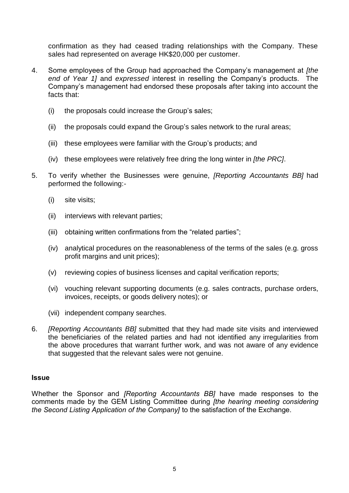confirmation as they had ceased trading relationships with the Company. These sales had represented on average HK\$20,000 per customer.

- 4. Some employees of the Group had approached the Company's management at *[the end of Year 1]* and *expressed* interest in reselling the Company's products. The Company's management had endorsed these proposals after taking into account the facts that:
	- (i) the proposals could increase the Group's sales;
	- (ii) the proposals could expand the Group's sales network to the rural areas;
	- (iii) these employees were familiar with the Group's products; and
	- (iv) these employees were relatively free dring the long winter in *[the PRC]*.
- 5. To verify whether the Businesses were genuine, *[Reporting Accountants BB]* had performed the following:-
	- (i) site visits;
	- (ii) interviews with relevant parties;
	- (iii) obtaining written confirmations from the "related parties";
	- (iv) analytical procedures on the reasonableness of the terms of the sales (e.g. gross profit margins and unit prices);
	- (v) reviewing copies of business licenses and capital verification reports;
	- (vi) vouching relevant supporting documents (e.g. sales contracts, purchase orders, invoices, receipts, or goods delivery notes); or
	- (vii) independent company searches.
- 6. *[Reporting Accountants BB]* submitted that they had made site visits and interviewed the beneficiaries of the related parties and had not identified any irregularities from the above procedures that warrant further work, and was not aware of any evidence that suggested that the relevant sales were not genuine.

## **Issue**

Whether the Sponsor and *[Reporting Accountants BB]* have made responses to the comments made by the GEM Listing Committee during *[the hearing meeting considering the Second Listing Application of the Company]* to the satisfaction of the Exchange.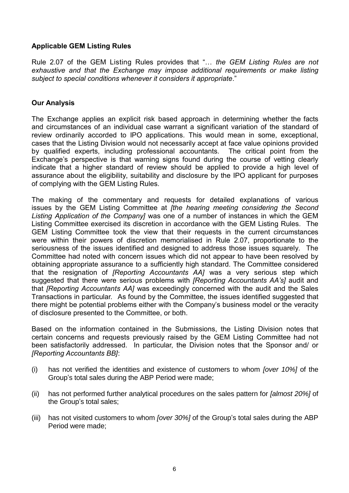## **Applicable GEM Listing Rules**

Rule 2.07 of the GEM Listing Rules provides that "… *the GEM Listing Rules are not exhaustive and that the Exchange may impose additional requirements or make listing subject to special conditions whenever it considers it appropriate*."

## **Our Analysis**

The Exchange applies an explicit risk based approach in determining whether the facts and circumstances of an individual case warrant a significant variation of the standard of review ordinarily accorded to IPO applications. This would mean in some, exceptional, cases that the Listing Division would not necessarily accept at face value opinions provided by qualified experts, including professional accountants. The critical point from the Exchange's perspective is that warning signs found during the course of vetting clearly indicate that a higher standard of review should be applied to provide a high level of assurance about the eligibility, suitability and disclosure by the IPO applicant for purposes of complying with the GEM Listing Rules.

The making of the commentary and requests for detailed explanations of various issues by the GEM Listing Committee at *[the hearing meeting considering the Second Listing Application of the Company]* was one of a number of instances in which the GEM Listing Committee exercised its discretion in accordance with the GEM Listing Rules. The GEM Listing Committee took the view that their requests in the current circumstances were within their powers of discretion memorialised in Rule 2.07, proportionate to the seriousness of the issues identified and designed to address those issues squarely. The Committee had noted with concern issues which did not appear to have been resolved by obtaining appropriate assurance to a sufficiently high standard. The Committee considered that the resignation of *[Reporting Accountants AA]* was a very serious step which suggested that there were serious problems with *[Reporting Accountants AA's]* audit and that *[Reporting Accountants AA]* was exceedingly concerned with the audit and the Sales Transactions in particular. As found by the Committee, the issues identified suggested that there might be potential problems either with the Company's business model or the veracity of disclosure presented to the Committee, or both.

Based on the information contained in the Submissions, the Listing Division notes that certain concerns and requests previously raised by the GEM Listing Committee had not been satisfactorily addressed. In particular, the Division notes that the Sponsor and/ or *[Reporting Accountants BB]*:

- (i) has not verified the identities and existence of customers to whom *[over 10%]* of the Group's total sales during the ABP Period were made;
- (ii) has not performed further analytical procedures on the sales pattern for *[almost 20%]* of the Group's total sales;
- (iii) has not visited customers to whom *[over 30%]* of the Group's total sales during the ABP Period were made;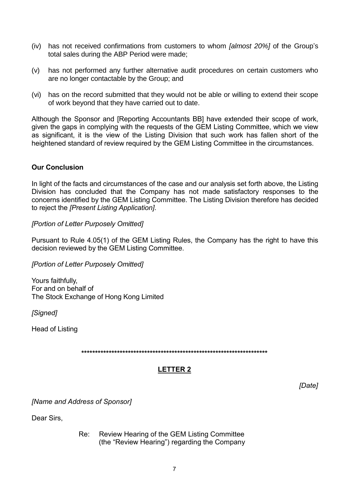- (iv) has not received confirmations from customers to whom *[almost 20%]* of the Group's total sales during the ABP Period were made;
- (v) has not performed any further alternative audit procedures on certain customers who are no longer contactable by the Group; and
- (vi) has on the record submitted that they would not be able or willing to extend their scope of work beyond that they have carried out to date.

Although the Sponsor and [Reporting Accountants BB] have extended their scope of work, given the gaps in complying with the requests of the GEM Listing Committee, which we view as significant, it is the view of the Listing Division that such work has fallen short of the heightened standard of review required by the GEM Listing Committee in the circumstances.

## **Our Conclusion**

In light of the facts and circumstances of the case and our analysis set forth above, the Listing Division has concluded that the Company has not made satisfactory responses to the concerns identified by the GEM Listing Committee. The Listing Division therefore has decided to reject the *[Present Listing Application]*.

## *[Portion of Letter Purposely Omitted]*

Pursuant to [Rule 4.05\(](http://en-rules.hkex.com.hk/en/display/display.html?rbid=4476&element_id=206)1) of the GEM Listing Rules, the Company has the right to have this decision reviewed by the GEM Listing Committee.

*[Portion of Letter Purposely Omitted]*

Yours faithfully, For and on behalf of The Stock Exchange of Hong Kong Limited

*[Signed]* 

Head of Listing

**\*\*\*\*\*\*\*\*\*\*\*\*\*\*\*\*\*\*\*\*\*\*\*\*\*\*\*\*\*\*\*\*\*\*\*\*\*\*\*\*\*\*\*\*\*\*\*\*\*\*\*\*\*\*\*\*\*\*\*\*\*\*\*\*\*\*\*\***

# **LETTER 2**

*[Date]*

*[Name and Address of Sponsor]*

Dear Sirs,

Re: Review Hearing of the GEM Listing Committee (the "Review Hearing") regarding the Company